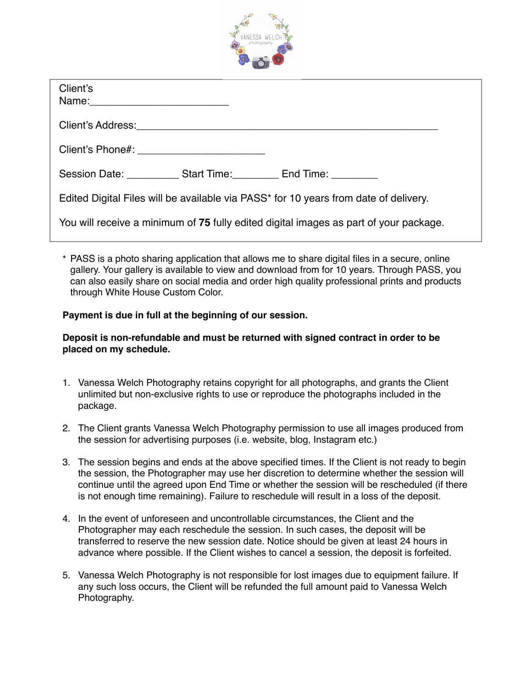

| Client's                                                                              |  |  |  |
|---------------------------------------------------------------------------------------|--|--|--|
|                                                                                       |  |  |  |
|                                                                                       |  |  |  |
| Session Date: ____________ Start Time: __________ End Time: ___________               |  |  |  |
| Edited Digital Files will be available via PASS* for 10 years from date of delivery.  |  |  |  |
| You will receive a minimum of 75 fully edited digital images as part of your package. |  |  |  |

\* PASS is a photo sharing application that allows me to share digital files in a secure, online gallery. Your gallery is available to view and download from for 10 years. Through PASS, you can also easily share on social media and order high quality professional prints and products through White House Custom Color.

## **Payment is due in full at the beginning of our session.**

## **Deposit is non-refundable and must be returned with signed contract in order to be placed on my schedule.**

- 1. Vanessa Welch Photography retains copyright for all photographs, and grants the Client unlimited but non-exclusive rights to use or reproduce the photographs included in the package.
- 2. The Client grants Vanessa Welch Photography permission to use all images produced from the session for advertising purposes (i.e. website, blog, Instagram etc.)
- 3. The session begins and ends at the above specified times. If the Client is not ready to begin the session, the Photographer may use her discretion to determine whether the session will continue until the agreed upon End Time or whether the session will be rescheduled (if there is not enough time remaining). Failure to reschedule will result in a loss of the deposit.
- 4. In the event of unforeseen and uncontrollable circumstances, the Client and the Photographer may each reschedule the session. In such cases, the deposit will be transferred to reserve the new session date. Notice should be given at least 24 hours in advance where possible. If the Client wishes to cancel a session, the deposit is forfeited.
- 5. Vanessa Welch Photography is not responsible for lost images due to equipment failure. If any such loss occurs, the Client will be refunded the full amount paid to Vanessa Welch Photography.